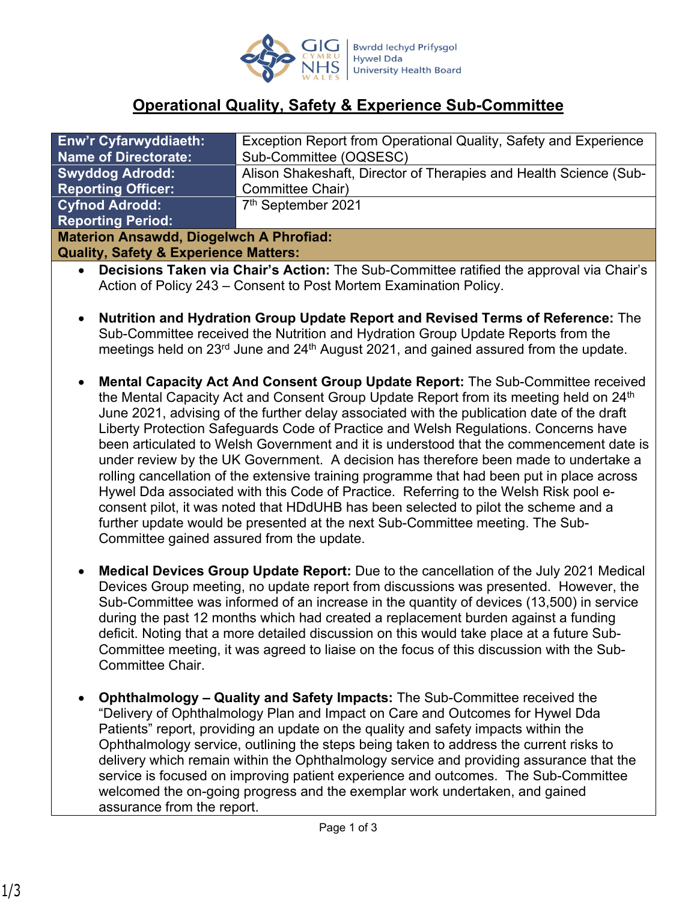

# **Operational Quality, Safety & Experience Sub-Committee**

| <b>Enw'r Cyfarwyddiaeth:</b>                     | Exception Report from Operational Quality, Safety and Experience  |
|--------------------------------------------------|-------------------------------------------------------------------|
| <b>Name of Directorate:</b>                      | Sub-Committee (OQSESC)                                            |
| <b>Swyddog Adrodd:</b>                           | Alison Shakeshaft, Director of Therapies and Health Science (Sub- |
| <b>Reporting Officer:</b>                        | Committee Chair)                                                  |
| <b>Cyfnod Adrodd:</b>                            | 7 <sup>th</sup> September 2021                                    |
| <b>Reporting Period:</b>                         |                                                                   |
| <b>Materion Ansawdd, Diogelwch A Phrofiad:</b>   |                                                                   |
| <b>Quality, Safety &amp; Experience Matters:</b> |                                                                   |

- **Decisions Taken via Chair's Action:** The Sub-Committee ratified the approval via Chair's Action of Policy 243 – Consent to Post Mortem Examination Policy.
- **Nutrition and Hydration Group Update Report and Revised Terms of Reference:** The Sub-Committee received the Nutrition and Hydration Group Update Reports from the meetings held on 23<sup>rd</sup> June and 24<sup>th</sup> August 2021, and gained assured from the update.
- **Mental Capacity Act And Consent Group Update Report:** The Sub-Committee received the Mental Capacity Act and Consent Group Update Report from its meeting held on 24<sup>th</sup> June 2021, advising of the further delay associated with the publication date of the draft Liberty Protection Safeguards Code of Practice and Welsh Regulations. Concerns have been articulated to Welsh Government and it is understood that the commencement date is under review by the UK Government. A decision has therefore been made to undertake a rolling cancellation of the extensive training programme that had been put in place across Hywel Dda associated with this Code of Practice. Referring to the Welsh Risk pool econsent pilot, it was noted that HDdUHB has been selected to pilot the scheme and a further update would be presented at the next Sub-Committee meeting. The Sub-Committee gained assured from the update.
- **Medical Devices Group Update Report:** Due to the cancellation of the July 2021 Medical Devices Group meeting, no update report from discussions was presented. However, the Sub-Committee was informed of an increase in the quantity of devices (13,500) in service during the past 12 months which had created a replacement burden against a funding deficit. Noting that a more detailed discussion on this would take place at a future Sub-Committee meeting, it was agreed to liaise on the focus of this discussion with the Sub-Committee Chair.
- **Ophthalmology Quality and Safety Impacts:** The Sub-Committee received the "Delivery of Ophthalmology Plan and Impact on Care and Outcomes for Hywel Dda Patients" report, providing an update on the quality and safety impacts within the Ophthalmology service, outlining the steps being taken to address the current risks to delivery which remain within the Ophthalmology service and providing assurance that the service is focused on improving patient experience and outcomes. The Sub-Committee welcomed the on-going progress and the exemplar work undertaken, and gained assurance from the report.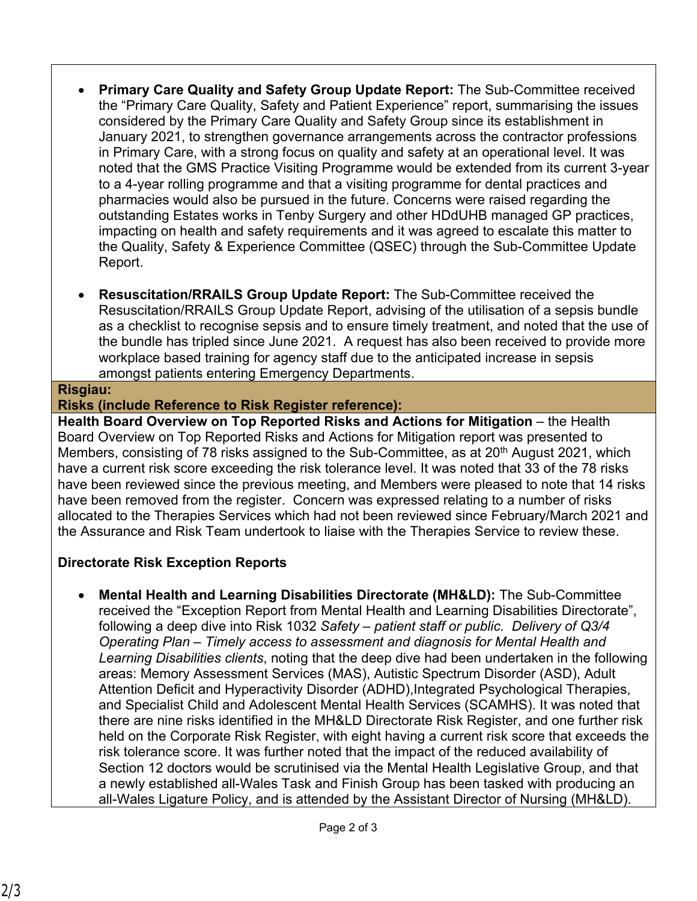- **Primary Care Quality and Safety Group Update Report:** The Sub-Committee received the "Primary Care Quality, Safety and Patient Experience" report, summarising the issues considered by the Primary Care Quality and Safety Group since its establishment in January 2021, to strengthen governance arrangements across the contractor professions in Primary Care, with a strong focus on quality and safety at an operational level. It was noted that the GMS Practice Visiting Programme would be extended from its current 3-year to a 4-year rolling programme and that a visiting programme for dental practices and pharmacies would also be pursued in the future. Concerns were raised regarding the outstanding Estates works in Tenby Surgery and other HDdUHB managed GP practices, impacting on health and safety requirements and it was agreed to escalate this matter to the Quality, Safety & Experience Committee (QSEC) through the Sub-Committee Update Report.
- **Resuscitation/RRAILS Group Update Report:** The Sub-Committee received the Resuscitation/RRAILS Group Update Report, advising of the utilisation of a sepsis bundle as a checklist to recognise sepsis and to ensure timely treatment, and noted that the use of the bundle has tripled since June 2021. A request has also been received to provide more workplace based training for agency staff due to the anticipated increase in sepsis amongst patients entering Emergency Departments.

#### **Risgiau:**

#### **Risks (include Reference to Risk Register reference):**

**Health Board Overview on Top Reported Risks and Actions for Mitigation** – the Health Board Overview on Top Reported Risks and Actions for Mitigation report was presented to Members, consisting of 78 risks assigned to the Sub-Committee, as at 20<sup>th</sup> August 2021, which have a current risk score exceeding the risk tolerance level. It was noted that 33 of the 78 risks have been reviewed since the previous meeting, and Members were pleased to note that 14 risks have been removed from the register. Concern was expressed relating to a number of risks allocated to the Therapies Services which had not been reviewed since February/March 2021 and the Assurance and Risk Team undertook to liaise with the Therapies Service to review these.

## **Directorate Risk Exception Reports**

 **Mental Health and Learning Disabilities Directorate (MH&LD):** The Sub-Committee received the "Exception Report from Mental Health and Learning Disabilities Directorate", following a deep dive into Risk 1032 *Safety – patient staff or public. Delivery of Q3/4 Operating Plan – Timely access to assessment and diagnosis for Mental Health and Learning Disabilities clients*, noting that the deep dive had been undertaken in the following areas: Memory Assessment Services (MAS), Autistic Spectrum Disorder (ASD), Adult Attention Deficit and Hyperactivity Disorder (ADHD), Integrated Psychological Therapies, and Specialist Child and Adolescent Mental Health Services (SCAMHS). It was noted that there are nine risks identified in the MH&LD Directorate Risk Register, and one further risk held on the Corporate Risk Register, with eight having a current risk score that exceeds the risk tolerance score. It was further noted that the impact of the reduced availability of Section 12 doctors would be scrutinised via the Mental Health Legislative Group, and that a newly established all-Wales Task and Finish Group has been tasked with producing an all-Wales Ligature Policy, and is attended by the Assistant Director of Nursing (MH&LD).